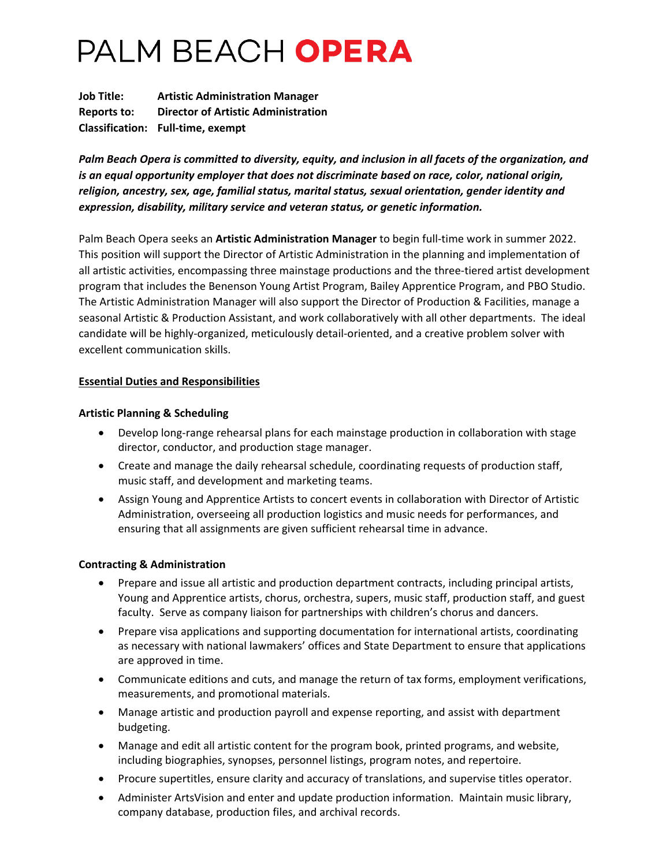# PALM BEACH OPERA

**Job Title: Artistic Administration Manager Reports to: Director of Artistic Administration Classification: Full-time, exempt**

*Palm Beach Opera is committed to diversity, equity, and inclusion in all facets of the organization, and is an equal opportunity employer that does not discriminate based on race, color, national origin, religion, ancestry, sex, age, familial status, marital status, sexual orientation, gender identity and expression, disability, military service and veteran status, or genetic information.*

Palm Beach Opera seeks an **Artistic Administration Manager** to begin full-time work in summer 2022. This position will support the Director of Artistic Administration in the planning and implementation of all artistic activities, encompassing three mainstage productions and the three-tiered artist development program that includes the Benenson Young Artist Program, Bailey Apprentice Program, and PBO Studio. The Artistic Administration Manager will also support the Director of Production & Facilities, manage a seasonal Artistic & Production Assistant, and work collaboratively with all other departments. The ideal candidate will be highly-organized, meticulously detail-oriented, and a creative problem solver with excellent communication skills.

## **Essential Duties and Responsibilities**

## **Artistic Planning & Scheduling**

- Develop long-range rehearsal plans for each mainstage production in collaboration with stage director, conductor, and production stage manager.
- Create and manage the daily rehearsal schedule, coordinating requests of production staff, music staff, and development and marketing teams.
- Assign Young and Apprentice Artists to concert events in collaboration with Director of Artistic Administration, overseeing all production logistics and music needs for performances, and ensuring that all assignments are given sufficient rehearsal time in advance.

## **Contracting & Administration**

- Prepare and issue all artistic and production department contracts, including principal artists, Young and Apprentice artists, chorus, orchestra, supers, music staff, production staff, and guest faculty. Serve as company liaison for partnerships with children's chorus and dancers.
- Prepare visa applications and supporting documentation for international artists, coordinating as necessary with national lawmakers' offices and State Department to ensure that applications are approved in time.
- Communicate editions and cuts, and manage the return of tax forms, employment verifications, measurements, and promotional materials.
- Manage artistic and production payroll and expense reporting, and assist with department budgeting.
- Manage and edit all artistic content for the program book, printed programs, and website, including biographies, synopses, personnel listings, program notes, and repertoire.
- Procure supertitles, ensure clarity and accuracy of translations, and supervise titles operator.
- Administer ArtsVision and enter and update production information. Maintain music library, company database, production files, and archival records.